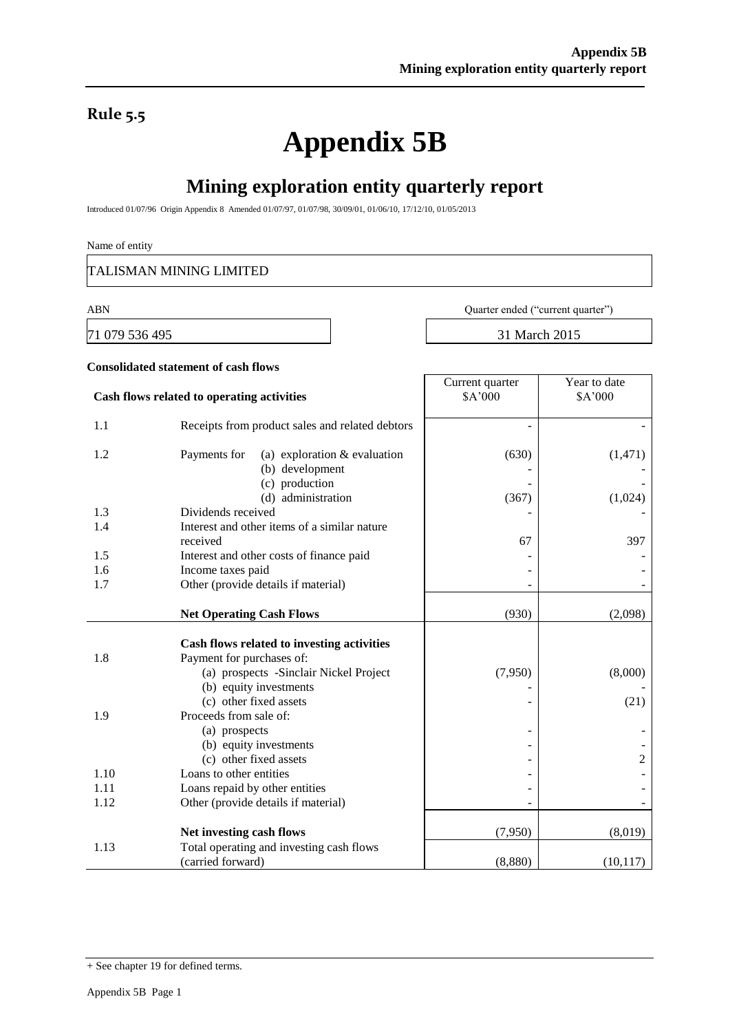## **Rule 5.5**

# **Appendix 5B**

# **Mining exploration entity quarterly report**

Introduced 01/07/96 Origin Appendix 8 Amended 01/07/97, 01/07/98, 30/09/01, 01/06/10, 17/12/10, 01/05/2013

#### Name of entity

TALISMAN MINING LIMITED

71 079 536 495 31 March 2015

ABN Quarter ended ("current quarter")

Year to date

Current quarter

### **Consolidated statement of cash flows**

| Cash flows related to operating activities |                                                                   | \$A'000 | \$A'000   |
|--------------------------------------------|-------------------------------------------------------------------|---------|-----------|
| 1.1                                        | Receipts from product sales and related debtors                   |         |           |
| 1.2                                        | Payments for<br>(a) exploration $&$ evaluation<br>(b) development | (630)   | (1, 471)  |
|                                            | (c) production<br>(d) administration                              | (367)   | (1,024)   |
| 1.3                                        | Dividends received                                                |         |           |
| 1.4                                        | Interest and other items of a similar nature                      |         |           |
|                                            | received                                                          | 67      | 397       |
| 1.5                                        | Interest and other costs of finance paid                          |         |           |
| 1.6                                        | Income taxes paid                                                 |         |           |
| 1.7                                        | Other (provide details if material)                               |         |           |
|                                            |                                                                   |         |           |
|                                            | <b>Net Operating Cash Flows</b>                                   | (930)   | (2,098)   |
|                                            | Cash flows related to investing activities                        |         |           |
| 1.8                                        | Payment for purchases of:                                         |         |           |
|                                            | (a) prospects -Sinclair Nickel Project                            | (7,950) | (8,000)   |
|                                            | (b) equity investments                                            |         |           |
|                                            | (c) other fixed assets                                            |         | (21)      |
| 1.9                                        | Proceeds from sale of:                                            |         |           |
|                                            | (a) prospects                                                     |         |           |
|                                            | (b) equity investments                                            |         |           |
|                                            | (c) other fixed assets                                            |         | 2         |
| 1.10                                       | Loans to other entities                                           |         |           |
| 1.11                                       | Loans repaid by other entities                                    |         |           |
| 1.12                                       | Other (provide details if material)                               |         |           |
|                                            | Net investing cash flows                                          | (7,950) | (8,019)   |
| 1.13                                       | Total operating and investing cash flows                          |         |           |
|                                            | (carried forward)                                                 | (8,880) | (10, 117) |

<sup>+</sup> See chapter 19 for defined terms.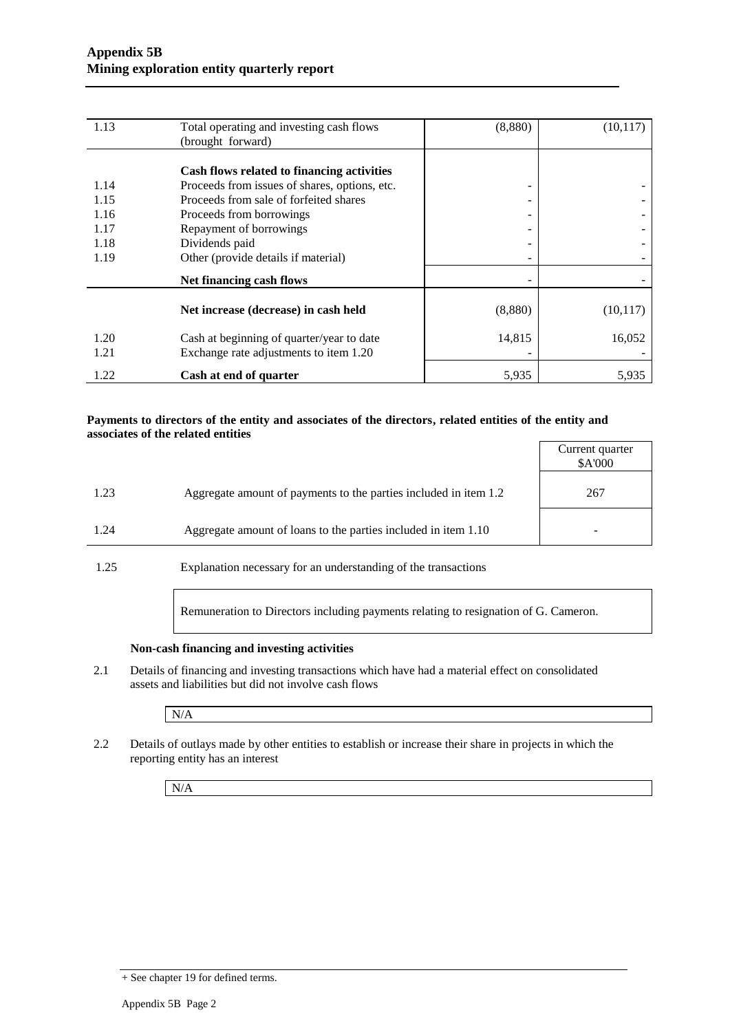| 1.13 | Total operating and investing cash flows      | (8,880) | (10, 117) |
|------|-----------------------------------------------|---------|-----------|
|      | (brought forward)                             |         |           |
|      |                                               |         |           |
|      | Cash flows related to financing activities    |         |           |
| 1.14 | Proceeds from issues of shares, options, etc. | -       |           |
| 1.15 | Proceeds from sale of forfeited shares        | -       |           |
| 1.16 | Proceeds from borrowings                      | ۰       |           |
| 1.17 | Repayment of borrowings                       |         |           |
| 1.18 | Dividends paid                                |         |           |
| 1.19 | Other (provide details if material)           |         |           |
|      | Net financing cash flows                      |         |           |
|      |                                               |         |           |
|      | Net increase (decrease) in cash held          | (8,880) | (10, 117) |
| 1.20 | Cash at beginning of quarter/year to date     | 14,815  | 16,052    |
| 1.21 | Exchange rate adjustments to item 1.20        |         |           |
| 1.22 | Cash at end of quarter                        | 5,935   | 5,935     |

#### **Payments to directors of the entity and associates of the directors, related entities of the entity and associates of the related entities**

|      |                                                                  | Current quarter<br>\$A'000 |
|------|------------------------------------------------------------------|----------------------------|
| 1.23 | Aggregate amount of payments to the parties included in item 1.2 | 267                        |
| 1.24 | Aggregate amount of loans to the parties included in item 1.10   |                            |

1.25 Explanation necessary for an understanding of the transactions

Remuneration to Directors including payments relating to resignation of G. Cameron.

#### **Non-cash financing and investing activities**

2.1 Details of financing and investing transactions which have had a material effect on consolidated assets and liabilities but did not involve cash flows

N/A

2.2 Details of outlays made by other entities to establish or increase their share in projects in which the reporting entity has an interest

N/A

<sup>+</sup> See chapter 19 for defined terms.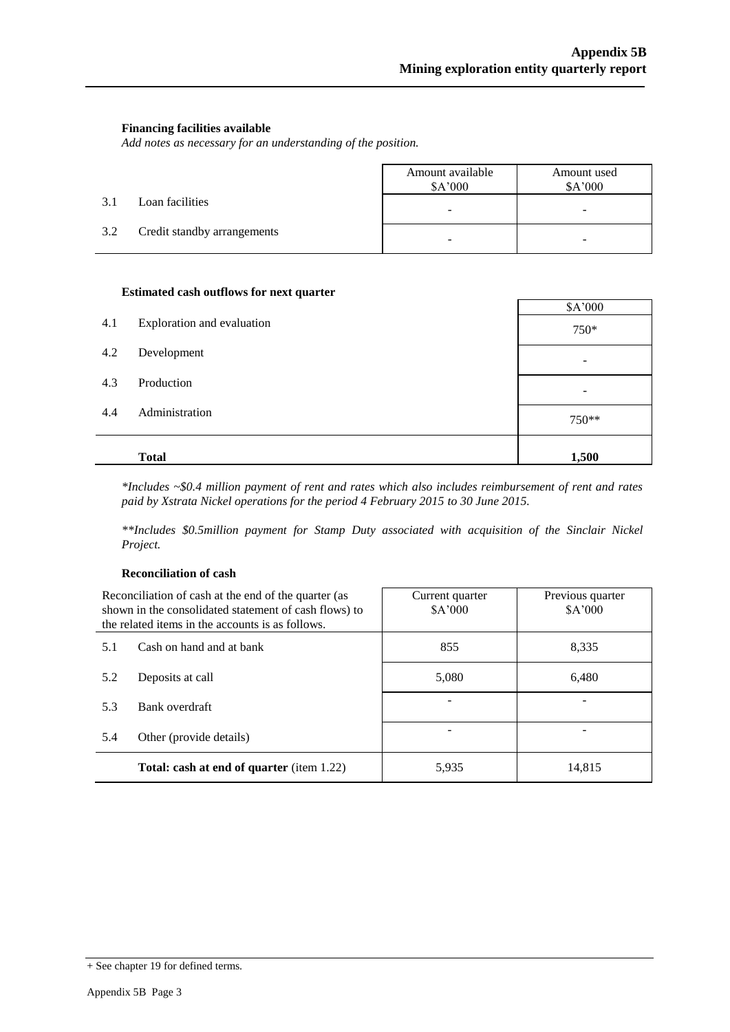#### **Financing facilities available**

*Add notes as necessary for an understanding of the position.*

|     |                             | Amount available<br>\$A'000  | Amount used<br>\$A'000   |
|-----|-----------------------------|------------------------------|--------------------------|
| 3.1 | Loan facilities             | $\qquad \qquad \blacksquare$ | $\overline{\phantom{a}}$ |
| 3.2 | Credit standby arrangements | -                            |                          |

#### **Estimated cash outflows for next quarter**

| 4.1<br>Exploration and evaluation<br>750* |  |
|-------------------------------------------|--|
|                                           |  |
| 4.2<br>Development                        |  |
| 4.3<br>Production<br>-                    |  |
| 4.4<br>Administration<br>750**            |  |
| <b>Total</b><br>1,500                     |  |

*\*Includes ~\$0.4 million payment of rent and rates which also includes reimbursement of rent and rates paid by Xstrata Nickel operations for the period 4 February 2015 to 30 June 2015.*

*\*\*Includes \$0.5million payment for Stamp Duty associated with acquisition of the Sinclair Nickel Project.*

#### **Reconciliation of cash**

| Reconciliation of cash at the end of the quarter (as<br>shown in the consolidated statement of cash flows) to<br>the related items in the accounts is as follows. |                                                  | Current quarter<br>\$A'000 | Previous quarter<br>\$A'000 |  |
|-------------------------------------------------------------------------------------------------------------------------------------------------------------------|--------------------------------------------------|----------------------------|-----------------------------|--|
| 5.1                                                                                                                                                               | Cash on hand and at bank                         | 855                        | 8,335                       |  |
| 5.2                                                                                                                                                               | Deposits at call                                 | 5,080                      | 6,480                       |  |
| 5.3                                                                                                                                                               | Bank overdraft                                   |                            |                             |  |
| 5.4                                                                                                                                                               | Other (provide details)                          |                            |                             |  |
|                                                                                                                                                                   | <b>Total: cash at end of quarter</b> (item 1.22) | 5,935                      | 14,815                      |  |

<sup>+</sup> See chapter 19 for defined terms.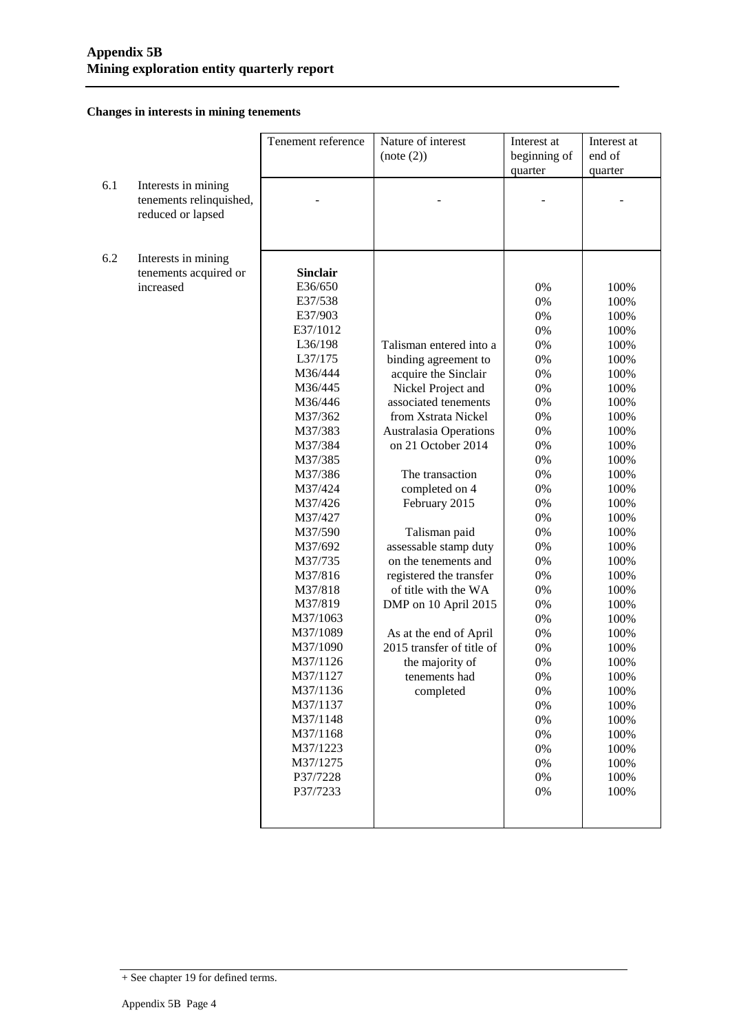#### **Changes in interests in mining tenements**

|     |                         | Tenement reference | Nature of interest            | Interest at  | Interest at |
|-----|-------------------------|--------------------|-------------------------------|--------------|-------------|
|     |                         |                    | (note (2))                    | beginning of | end of      |
|     |                         |                    |                               | quarter      | quarter     |
| 6.1 | Interests in mining     |                    |                               |              |             |
|     | tenements relinquished, |                    |                               |              |             |
|     | reduced or lapsed       |                    |                               |              |             |
|     |                         |                    |                               |              |             |
|     |                         |                    |                               |              |             |
| 6.2 | Interests in mining     |                    |                               |              |             |
|     | tenements acquired or   | <b>Sinclair</b>    |                               |              |             |
|     | increased               | E36/650            |                               | 0%           | 100%        |
|     |                         | E37/538            |                               | 0%           | 100%        |
|     |                         | E37/903            |                               | 0%           | 100%        |
|     |                         | E37/1012           |                               | $0\%$        | 100%        |
|     |                         | L36/198            | Talisman entered into a       | $0\%$        | 100%        |
|     |                         | L37/175            | binding agreement to          | $0\%$        | 100%        |
|     |                         | M36/444            | acquire the Sinclair          | 0%           | 100%        |
|     |                         | M36/445            | Nickel Project and            | 0%           | 100%        |
|     |                         | M36/446            | associated tenements          | 0%           | 100%        |
|     |                         | M37/362            | from Xstrata Nickel           | 0%           | 100%        |
|     |                         | M37/383            | <b>Australasia Operations</b> | 0%           | 100%        |
|     |                         | M37/384            | on 21 October 2014            | 0%           | 100%        |
|     |                         | M37/385            |                               | 0%           | 100%        |
|     |                         | M37/386            | The transaction               | 0%           | 100%        |
|     |                         | M37/424            | completed on 4                | 0%           | 100%        |
|     |                         | M37/426            | February 2015                 | 0%           | 100%        |
|     |                         | M37/427            |                               | 0%           | 100%        |
|     |                         | M37/590            | Talisman paid                 | 0%           | 100%        |
|     |                         | M37/692            | assessable stamp duty         | 0%           | 100%        |
|     |                         | M37/735            | on the tenements and          | 0%           | 100%        |
|     |                         | M37/816            | registered the transfer       | 0%           | 100%        |
|     |                         | M37/818            | of title with the WA          | 0%           | 100%        |
|     |                         | M37/819            | DMP on 10 April 2015          | 0%           | 100%        |
|     |                         | M37/1063           |                               | 0%           | 100%        |
|     |                         | M37/1089           | As at the end of April        | 0%           | 100%        |
|     |                         | M37/1090           | 2015 transfer of title of     | 0%           | 100%        |
|     |                         | M37/1126           | the majority of               | 0%           | 100%        |
|     |                         | M37/1127           | tenements had                 | 0%           | 100%        |
|     |                         | M37/1136           | completed                     | $0\%$        | 100%        |
|     |                         | M37/1137           |                               | $0\%$        | 100%        |
|     |                         | M37/1148           |                               | $0\%$        | 100%        |
|     |                         | M37/1168           |                               | $0\%$        | 100%        |
|     |                         | M37/1223           |                               | $0\%$        | 100%        |
|     |                         | M37/1275           |                               | $0\%$        | 100%        |
|     |                         | P37/7228           |                               | $0\%$        | 100%        |
|     |                         | P37/7233           |                               | $0\%$        | 100%        |
|     |                         |                    |                               |              |             |
|     |                         |                    |                               |              |             |

<sup>+</sup> See chapter 19 for defined terms.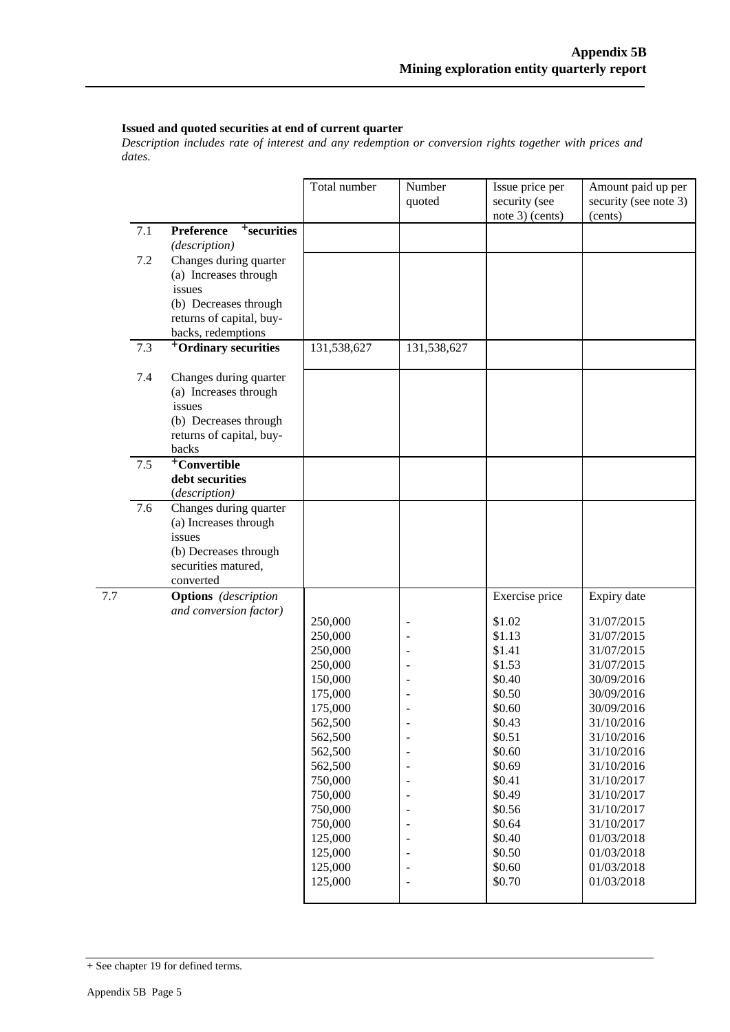#### **Issued and quoted securities at end of current quarter**

*Description includes rate of interest and any redemption or conversion rights together with prices and dates.*

|     |     |                                                                                                                                      | Total number                                                                                                                                                                                                  | Number<br>quoted | Issue price per<br>security (see<br>note 3) (cents)                                                                                                                                                          | Amount paid up per<br>security (see note 3)<br>(cents)                                                                                                                                                                                                                                |
|-----|-----|--------------------------------------------------------------------------------------------------------------------------------------|---------------------------------------------------------------------------------------------------------------------------------------------------------------------------------------------------------------|------------------|--------------------------------------------------------------------------------------------------------------------------------------------------------------------------------------------------------------|---------------------------------------------------------------------------------------------------------------------------------------------------------------------------------------------------------------------------------------------------------------------------------------|
|     | 7.1 | Preference<br><sup>+</sup> securities<br>(description)                                                                               |                                                                                                                                                                                                               |                  |                                                                                                                                                                                                              |                                                                                                                                                                                                                                                                                       |
|     | 7.2 | Changes during quarter<br>(a) Increases through<br>issues<br>(b) Decreases through<br>returns of capital, buy-<br>backs, redemptions |                                                                                                                                                                                                               |                  |                                                                                                                                                                                                              |                                                                                                                                                                                                                                                                                       |
|     | 7.3 | <sup>+</sup> Ordinary securities                                                                                                     | 131,538,627                                                                                                                                                                                                   | 131,538,627      |                                                                                                                                                                                                              |                                                                                                                                                                                                                                                                                       |
|     | 7.4 | Changes during quarter<br>(a) Increases through<br>issues<br>(b) Decreases through<br>returns of capital, buy-<br>backs              |                                                                                                                                                                                                               |                  |                                                                                                                                                                                                              |                                                                                                                                                                                                                                                                                       |
|     | 7.5 | <sup>+</sup> Convertible<br>debt securities<br>(description)                                                                         |                                                                                                                                                                                                               |                  |                                                                                                                                                                                                              |                                                                                                                                                                                                                                                                                       |
|     | 7.6 | Changes during quarter<br>(a) Increases through<br>issues<br>(b) Decreases through<br>securities matured,<br>converted               |                                                                                                                                                                                                               |                  |                                                                                                                                                                                                              |                                                                                                                                                                                                                                                                                       |
| 7.7 |     | <b>Options</b> (description<br>and conversion factor)                                                                                | 250,000<br>250,000<br>250,000<br>250,000<br>150,000<br>175,000<br>175,000<br>562,500<br>562,500<br>562,500<br>562,500<br>750,000<br>750,000<br>750,000<br>750,000<br>125,000<br>125,000<br>125,000<br>125,000 |                  | Exercise price<br>\$1.02<br>\$1.13<br>\$1.41<br>\$1.53<br>\$0.40<br>\$0.50<br>\$0.60<br>\$0.43<br>\$0.51<br>\$0.60<br>\$0.69<br>\$0.41<br>\$0.49<br>\$0.56<br>\$0.64<br>\$0.40<br>\$0.50<br>\$0.60<br>\$0.70 | Expiry date<br>31/07/2015<br>31/07/2015<br>31/07/2015<br>31/07/2015<br>30/09/2016<br>30/09/2016<br>30/09/2016<br>31/10/2016<br>31/10/2016<br>31/10/2016<br>31/10/2016<br>31/10/2017<br>31/10/2017<br>31/10/2017<br>31/10/2017<br>01/03/2018<br>01/03/2018<br>01/03/2018<br>01/03/2018 |

<sup>+</sup> See chapter 19 for defined terms.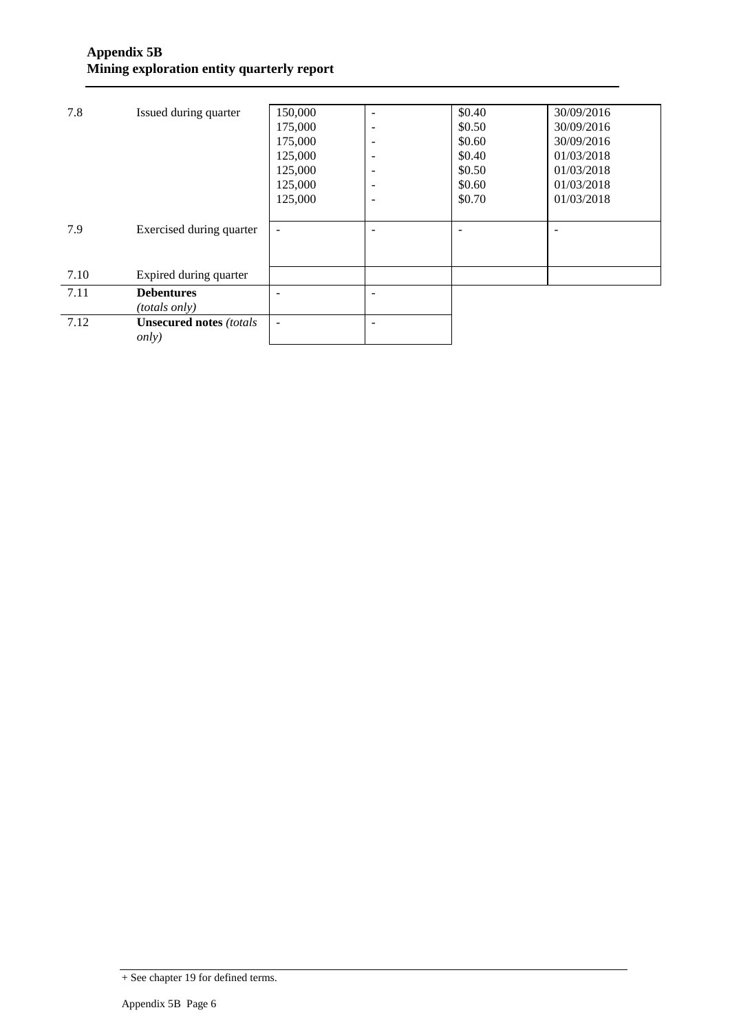| 7.8  | Issued during quarter           | 150,000                  |                              | \$0.40 | 30/09/2016 |
|------|---------------------------------|--------------------------|------------------------------|--------|------------|
|      |                                 | 175,000                  | $\overline{\phantom{a}}$     | \$0.50 | 30/09/2016 |
|      |                                 | 175,000                  | $\qquad \qquad \blacksquare$ | \$0.60 | 30/09/2016 |
|      |                                 | 125,000                  | $\overline{\phantom{a}}$     | \$0.40 | 01/03/2018 |
|      |                                 | 125,000                  | $\overline{\phantom{a}}$     | \$0.50 | 01/03/2018 |
|      |                                 | 125,000                  | $\overline{\phantom{a}}$     | \$0.60 | 01/03/2018 |
|      |                                 | 125,000                  | $\overline{\phantom{a}}$     | \$0.70 | 01/03/2018 |
|      |                                 |                          |                              |        |            |
| 7.9  | Exercised during quarter        | $\overline{\phantom{a}}$ |                              | ÷      | ۰          |
|      |                                 |                          |                              |        |            |
|      |                                 |                          |                              |        |            |
| 7.10 | Expired during quarter          |                          |                              |        |            |
| 7.11 | <b>Debentures</b>               |                          |                              |        |            |
|      | <i>(totals only)</i>            |                          |                              |        |            |
| 7.12 | <b>Unsecured notes (totals)</b> | $\blacksquare$           |                              |        |            |
|      | <i>only</i> )                   |                          |                              |        |            |
|      |                                 |                          |                              |        |            |

<sup>+</sup> See chapter 19 for defined terms.